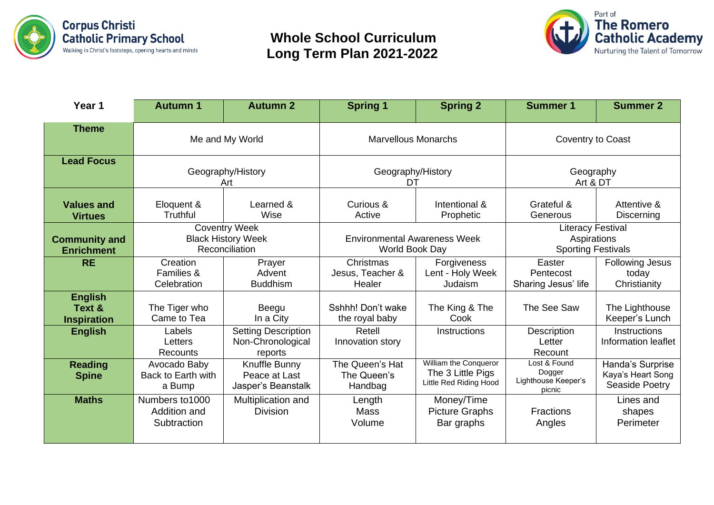

## **Whole School Curriculum Long Term Plan 2021-2022**



| Year 1                                         | <b>Autumn 1</b>                                                     | <b>Autumn 2</b>                                            | <b>Spring 1</b>                                       | <b>Spring 2</b>                                                      | <b>Summer 1</b>                                                      | <b>Summer 2</b>                                         |
|------------------------------------------------|---------------------------------------------------------------------|------------------------------------------------------------|-------------------------------------------------------|----------------------------------------------------------------------|----------------------------------------------------------------------|---------------------------------------------------------|
| <b>Theme</b>                                   | Me and My World                                                     |                                                            | <b>Marvellous Monarchs</b>                            |                                                                      | Coventry to Coast                                                    |                                                         |
| <b>Lead Focus</b>                              | Geography/History<br>Art                                            |                                                            | Geography/History<br>DT                               |                                                                      | Geography<br>Art & DT                                                |                                                         |
| <b>Values and</b><br><b>Virtues</b>            | Eloquent &<br>Truthful                                              | Learned &<br>Wise                                          | Curious &<br>Active                                   | Intentional &<br>Prophetic                                           | Grateful &<br>Generous                                               | Attentive &<br>Discerning                               |
| <b>Community and</b><br><b>Enrichment</b>      | <b>Coventry Week</b><br><b>Black History Week</b><br>Reconciliation |                                                            | <b>Environmental Awareness Week</b><br>World Book Day |                                                                      | <b>Literacy Festival</b><br>Aspirations<br><b>Sporting Festivals</b> |                                                         |
| <b>RE</b>                                      | Creation<br>Families &<br>Celebration                               | Prayer<br>Advent<br><b>Buddhism</b>                        | Christmas<br>Jesus, Teacher &<br>Healer               | Forgiveness<br>Lent - Holy Week<br>Judaism                           | Easter<br>Pentecost<br>Sharing Jesus' life                           | <b>Following Jesus</b><br>today<br>Christianity         |
| <b>English</b><br>Text &<br><b>Inspiration</b> | The Tiger who<br>Came to Tea                                        | Beegu<br>In a City                                         | Sshhh! Don't wake<br>the royal baby                   | The King & The<br>Cook                                               | The See Saw                                                          | The Lighthouse<br>Keeper's Lunch                        |
| <b>English</b>                                 | Labels<br>Letters<br>Recounts                                       | <b>Setting Description</b><br>Non-Chronological<br>reports | Retell<br>Innovation story                            | Instructions                                                         | Description<br>Letter<br>Recount                                     | <b>Instructions</b><br>Information leaflet              |
| <b>Reading</b><br><b>Spine</b>                 | Avocado Baby<br>Back to Earth with<br>a Bump                        | Knuffle Bunny<br>Peace at Last<br>Jasper's Beanstalk       | The Queen's Hat<br>The Queen's<br>Handbag             | William the Conqueror<br>The 3 Little Pigs<br>Little Red Riding Hood | Lost & Found<br>Dogger<br>Lighthouse Keeper's<br>picnic              | Handa's Surprise<br>Kaya's Heart Song<br>Seaside Poetry |
| <b>Maths</b>                                   | Numbers to 1000<br>Addition and<br>Subtraction                      | Multiplication and<br><b>Division</b>                      | Length<br>Mass<br>Volume                              | Money/Time<br><b>Picture Graphs</b><br>Bar graphs                    | <b>Fractions</b><br>Angles                                           | Lines and<br>shapes<br>Perimeter                        |